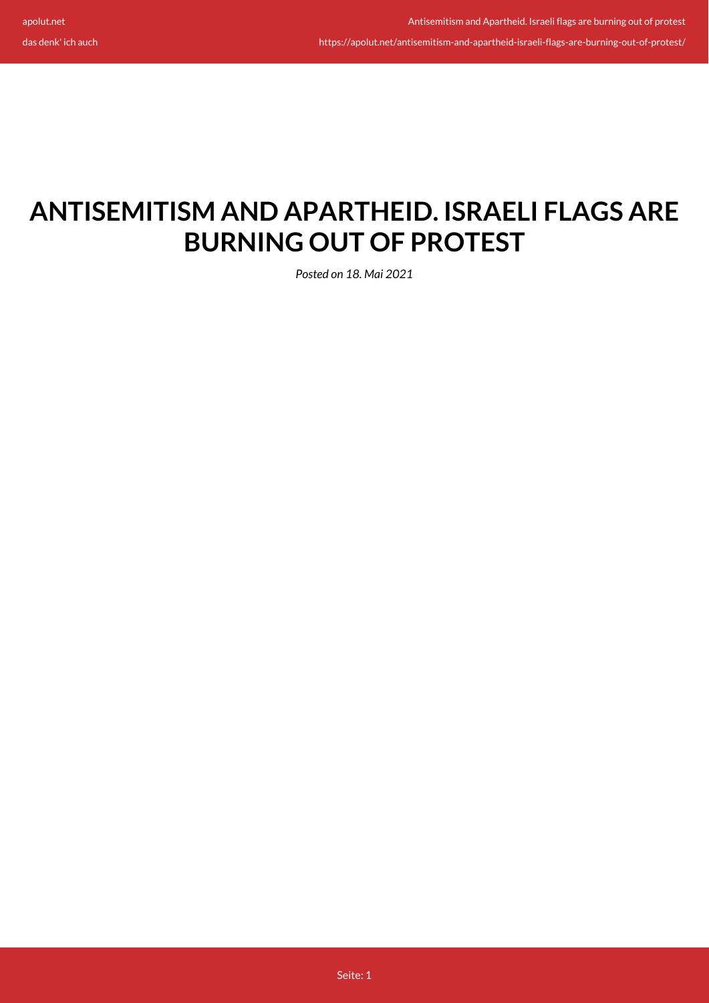das denk' ich auch

https://apolut.net/antisemitism-and-apartheid-israeli-flags-are-burning-out-of-protest/

# **ANTISEMITISM AND APARTHEID. ISRAELI FLAGS ARE BURNING OUT OF PROTEST**

*Posted on 18. Mai 2021*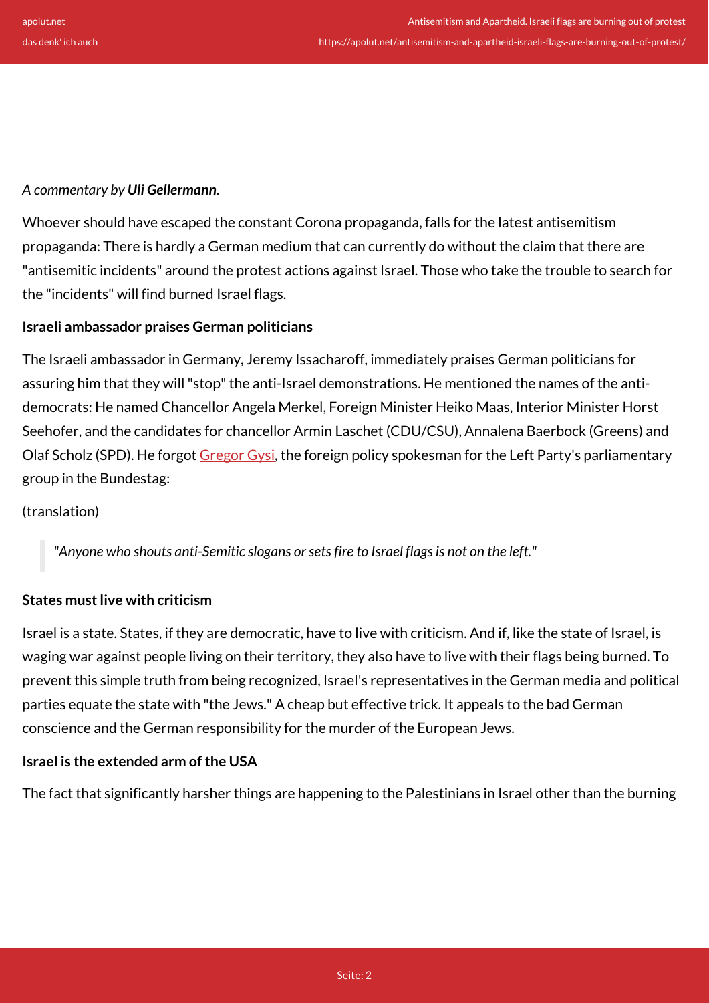## *A commentary by Uli Gellermann.*

Whoever should have escaped the constant Corona propaganda, falls for the latest antisemitism propaganda: There is hardly a German medium that can currently do without the claim that there are "antisemitic incidents" around the protest actions against Israel. Those who take the trouble to search for the "incidents" will find burned Israel flags.

## **Israeli ambassador praises German politicians**

The Israeli ambassador in Germany, Jeremy Issacharoff, immediately praises German politicians for assuring him that they will "stop" the anti-Israel demonstrations. He mentioned the names of the antidemocrats: He named Chancellor Angela Merkel, Foreign Minister Heiko Maas, Interior Minister Horst Seehofer, and the candidates for chancellor Armin Laschet (CDU/CSU), Annalena Baerbock (Greens) and Olaf Scholz (SPD). He forgot [Gregor Gysi,](https://www.linksfraktion.de/themen/nachrichten/detail/wer-israelflaggen-anzuendet-ist-nicht-links/) the foreign policy spokesman for the Left Party's parliamentary group in the Bundestag:

### (translation)

*"Anyone who shouts anti-Semitic slogans or sets fire to Israel flags is not on the left."*

## **States must live with criticism**

Israel is a state. States, if they are democratic, have to live with criticism. And if, like the state of Israel, is waging war against people living on their territory, they also have to live with their flags being burned. To prevent this simple truth from being recognized, Israel's representatives in the German media and political parties equate the state with "the Jews." A cheap but effective trick. It appeals to the bad German conscience and the German responsibility for the murder of the European Jews.

## **Israel is the extended arm of the USA**

The fact that significantly harsher things are happening to the Palestinians in Israel other than the burning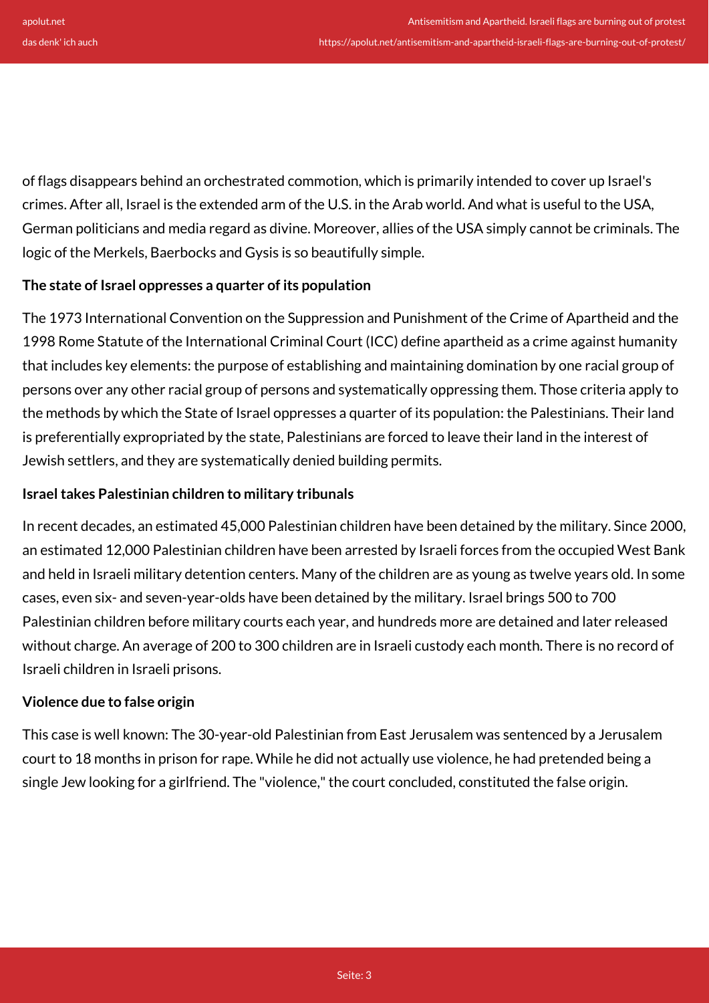of flags disappears behind an orchestrated commotion, which is primarily intended to cover up Israel's crimes. After all, Israel is the extended arm of the U.S. in the Arab world. And what is useful to the USA, German politicians and media regard as divine. Moreover, allies of the USA simply cannot be criminals. The logic of the Merkels, Baerbocks and Gysis is so beautifully simple.

## **The state of Israel oppresses a quarter of its population**

The 1973 International Convention on the Suppression and Punishment of the Crime of Apartheid and the 1998 Rome Statute of the International Criminal Court (ICC) define apartheid as a crime against humanity that includes key elements: the purpose of establishing and maintaining domination by one racial group of persons over any other racial group of persons and systematically oppressing them. Those criteria apply to the methods by which the State of Israel oppresses a quarter of its population: the Palestinians. Their land is preferentially expropriated by the state, Palestinians are forced to leave their land in the interest of Jewish settlers, and they are systematically denied building permits.

## **Israel takes Palestinian children to military tribunals**

In recent decades, an estimated 45,000 Palestinian children have been detained by the military. Since 2000, an estimated 12,000 Palestinian children have been arrested by Israeli forces from the occupied West Bank and held in Israeli military detention centers. Many of the children are as young as twelve years old. In some cases, even six- and seven-year-olds have been detained by the military. Israel brings 500 to 700 Palestinian children before military courts each year, and hundreds more are detained and later released without charge. An average of 200 to 300 children are in Israeli custody each month. There is no record of Israeli children in Israeli prisons.

### **Violence due to false origin**

This case is well known: The 30-year-old Palestinian from East Jerusalem was sentenced by a Jerusalem court to 18 months in prison for rape. While he did not actually use violence, he had pretended being a single Jew looking for a girlfriend. The "violence," the court concluded, constituted the false origin.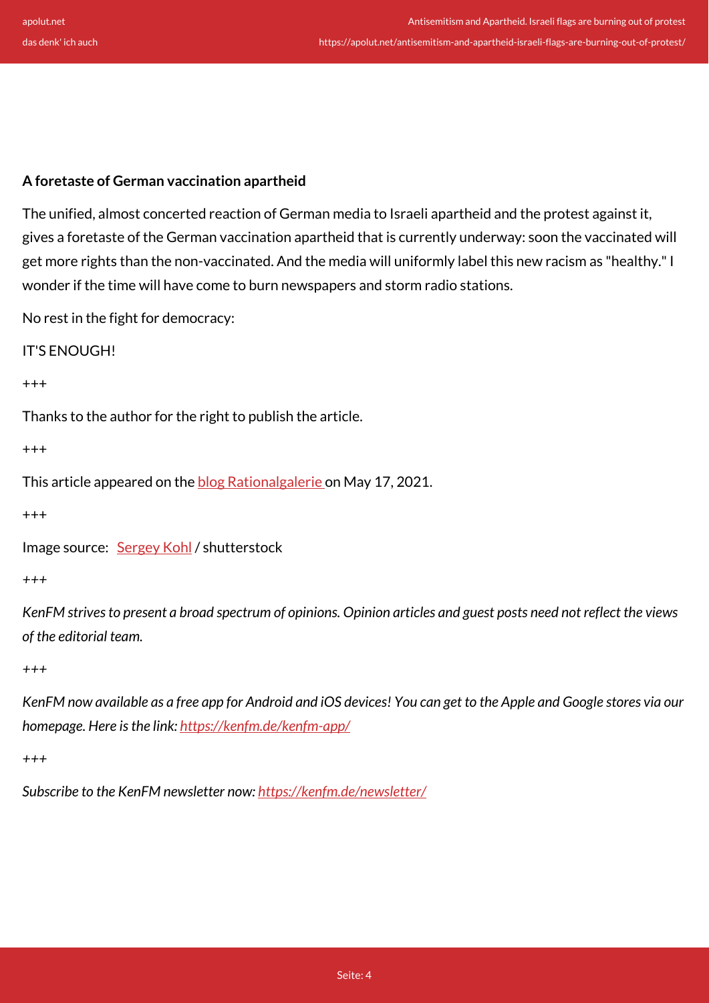## **A foretaste of German vaccination apartheid**

The unified, almost concerted reaction of German media to Israeli apartheid and the protest against it, gives a foretaste of the German vaccination apartheid that is currently underway: soon the vaccinated will get more rights than the non-vaccinated. And the media will uniformly label this new racism as "healthy." I wonder if the time will have come to burn newspapers and storm radio stations.

No rest in the fight for democracy:

IT'S ENOUGH!

+++

Thanks to the author for the right to publish the article.

+++

This article appeared on the **blog Rationalgalerie** on May 17, 2021.

+++

Image source: [Sergey Kohl](https://www.shutterstock.com/de/g/SergeyKohl) / shutterstock

*+++*

*KenFM strives to present a broad spectrum of opinions. Opinion articles and guest posts need not reflect the views of the editorial team.*

*+++*

*KenFM now available as a free app for Android and iOS devices! You can get to the Apple and Google stores via our homepage. Here is the link:<https://kenfm.de/kenfm-app/>*

*+++*

*Subscribe to the KenFM newsletter now: <https://kenfm.de/newsletter/>*